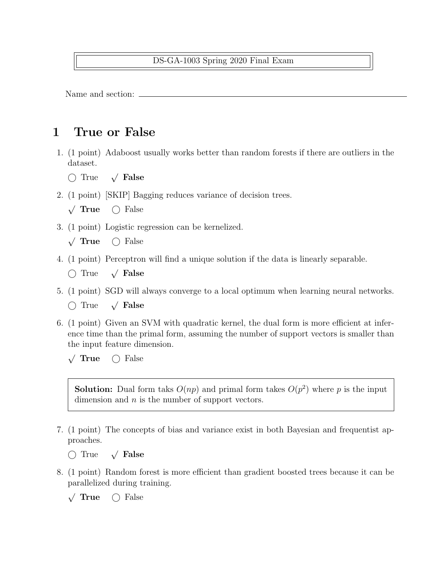## DS-GA-1003 Spring 2020 Final Exam

Name and section:

## 1 True or False

- 1. (1 point) Adaboost usually works better than random forests if there are outliers in the dataset.
	- $\bigcap$  True  $\sqrt{\ }$  False
- 2. (1 point) [SKIP] Bagging reduces variance of decision trees.
	- $\sqrt{\text{True}}$  $\bigcap$  False
- 3. (1 point) Logistic regression can be kernelized.
	- $\sqrt{\text{True}}$  $\bigcap$  False
- 4. (1 point) Perceptron will find a unique solution if the data is linearly separable.
	- $\bigcap$  True  $\sqrt{\ }$  False
- 5. (1 point) SGD will always converge to a local optimum when learning neural networks.
	- $\bigcap$  True  $\sqrt{\ }$  False
- 6. (1 point) Given an SVM with quadratic kernel, the dual form is more efficient at inference time than the primal form, assuming the number of support vectors is smaller than the input feature dimension.
	- $\sqrt{\text{True}}$  $\bigcap$  False

**Solution:** Dual form take  $O(np)$  and primal form takes  $O(p^2)$  where p is the input dimension and  $n$  is the number of support vectors.

- 7. (1 point) The concepts of bias and variance exist in both Bayesian and frequentist approaches.
	- $\bigcap$  True  $\sqrt{\ }$  False
- 8. (1 point) Random forest is more efficient than gradient boosted trees because it can be parallelized during training.

 $\sqrt{\text{True}}$  $\bigcirc$  False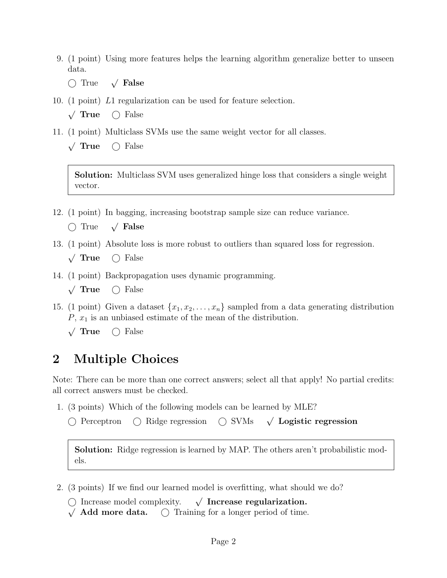- 9. (1 point) Using more features helps the learning algorithm generalize better to unseen data.
	- $\bigcap$  True  $\sqrt{\ }$  False
- 10. (1 point) L1 regularization can be used for feature selection.
	- $\sqrt{\text{True}}$  $\bigcap$  False
- 11. (1 point) Multiclass SVMs use the same weight vector for all classes.
	- $\sqrt{\text{True}}$  $\bigcirc$  False

Solution: Multiclass SVM uses generalized hinge loss that considers a single weight vector.

- 12. (1 point) In bagging, increasing bootstrap sample size can reduce variance.
	- $\bigcap$  True  $\sqrt{\ }$  False
- 13. (1 point) Absolute loss is more robust to outliers than squared loss for regression.
	- $\sqrt{\text{True}}$  $\bigcirc$  False
- 14. (1 point) Backpropagation uses dynamic programming.
	- $\sqrt{\text{True}}$  $\bigcap$  False
- 15. (1 point) Given a dataset  $\{x_1, x_2, \ldots, x_n\}$  sampled from a data generating distribution  $P, x_1$  is an unbiased estimate of the mean of the distribution.
	- √ True  $\bigcirc$  False

## 2 Multiple Choices

Note: There can be more than one correct answers; select all that apply! No partial credits: all correct answers must be checked.

- 1. (3 points) Which of the following models can be learned by MLE?
	- $\bigcap$  Perceptron  $\bigcap$  Ridge regression  $\bigcap$  SVMs  $\sqrt{\phantom{a}}$  Logistic regression

Solution: Ridge regression is learned by MAP. The others aren't probabilistic models.

- 2. (3 points) If we find our learned model is overfitting, what should we do?
	- $\bigcirc$  Increase model complexity.  $\checkmark$  $\sqrt{ }$  Increase regularization.
	- $\sqrt{\phantom{a}}$  **Add more data.**  $\degree$  Training for a longer period of time.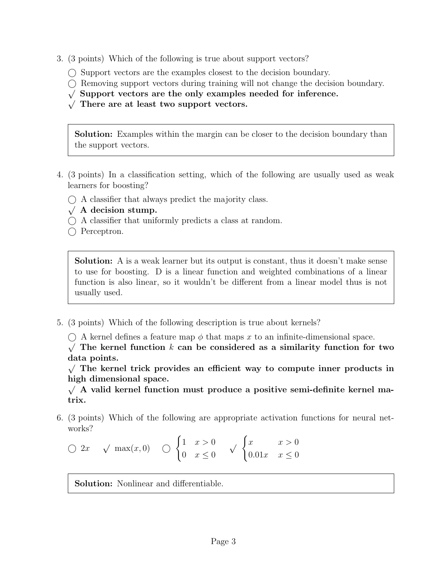- 3. (3 points) Which of the following is true about support vectors?
	- $\bigcirc$  Support vectors are the examples closest to the decision boundary.
	- Removing support vectors during training will not change the decision boundary. √
	- $\sqrt{\frac{1}{N}}$  Support vectors are the only examples needed for inference.
	- $\sqrt{\ }$  There are at least two support vectors.

Solution: Examples within the margin can be closer to the decision boundary than the support vectors.

- 4. (3 points) In a classification setting, which of the following are usually used as weak learners for boosting?
	- A classifier that always predict the majority class. √
	- $\sqrt{A}$  decision stump.
	- $\bigcirc$  A classifier that uniformly predicts a class at random.
	- ◯ Perceptron.

Solution: A is a weak learner but its output is constant, thus it doesn't make sense to use for boosting. D is a linear function and weighted combinations of a linear function is also linear, so it wouldn't be different from a linear model thus is not usually used.

5. (3 points) Which of the following description is true about kernels?

 $\bigcirc$  A kernel defines a feature map  $\phi$  that maps x to an infinite-dimensional space.

 $\sqrt{\ }$  The kernel function k can be considered as a similarity function for two data points. √

 $\sqrt{\ }$  The kernel trick provides an efficient way to compute inner products in high dimensional space.

 $\sqrt{A}$  valid kernel function must produce a positive semi-definite kernel matrix.

6. (3 points) Which of the following are appropriate activation functions for neural networks?

$$
\bigcirc 2x \quad \sqrt{\max(x,0)} \quad \bigcirc \begin{cases} 1 & x > 0 \\ 0 & x \le 0 \end{cases} \quad \sqrt{\begin{cases} x & x > 0 \\ 0.01x & x \le 0 \end{cases}}
$$

Solution: Nonlinear and differentiable.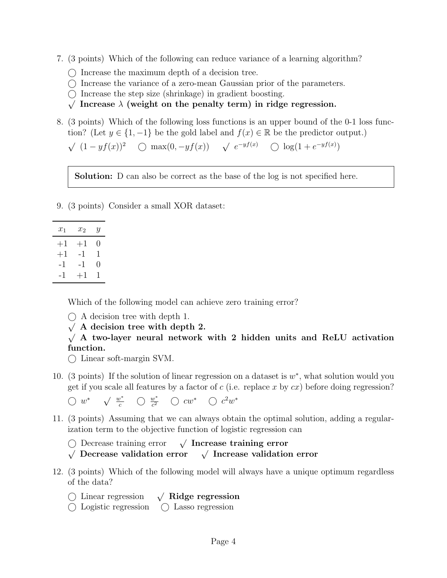- 7. (3 points) Which of the following can reduce variance of a learning algorithm?
	- $\bigcap$  Increase the maximum depth of a decision tree.
	- $\bigcirc$  Increase the variance of a zero-mean Gaussian prior of the parameters.
	- $\bigcirc$  Increase the step size (shrinkage) in gradient boosting.
	- $\sqrt{\ }$  Increase  $\lambda$  (weight on the penalty term) in ridge regression.
- 8. (3 points) Which of the following loss functions is an upper bound of the 0-1 loss function? (Let  $y \in \{1, -1\}$  be the gold label and  $f(x) \in \mathbb{R}$  be the predictor output.)

 $\sqrt{(1-yf(x))^2}$   $\bigcirc$  max $(0, -yf(x))$   $\sqrt{e^{-yf(x)}}$   $\bigcirc$   $\log(1+e^{-yf(x)})$ 

Solution: D can also be correct as the base of the log is not specified here.

9. (3 points) Consider a small XOR dataset:

| $x_1$ | $x_2$  | Y                |
|-------|--------|------------------|
| $+1$  | $+1\,$ | 0                |
| $+1$  | -1     | 1                |
| -1    | -1     | $\left( \right)$ |
| -1    | $+1$   | 1                |

Which of the following model can achieve zero training error?

- A decision tree with depth 1. √
- $\sqrt{ }$  A decision tree with depth 2.

 $\sqrt{A}$  two-layer neural network with 2 hidden units and ReLU activation function.

 $\bigcap$  Linear soft-margin SVM.

10. (3 points) If the solution of linear regression on a dataset is  $w^*$ , what solution would you get if you scale all features by a factor of  $c$  (i.e. replace x by  $cx$ ) before doing regression?

 $\bigcirc$  w<sup>\*</sup>  $\sqrt{\frac{w^*}{c}}$   $\bigcirc$   $\frac{w^*}{c^2}$   $\bigcirc$   $cw^*$   $\bigcirc$   $c^2w^*$ 

11. (3 points) Assuming that we can always obtain the optimal solution, adding a regularization term to the objective function of logistic regression can

 Decrease training error <sup>√</sup> √  $\sqrt{ }$  Increase training error

Decrease training error villancrease training error<br>Decrease validation error v Increase validation error

- 12. (3 points) Which of the following model will always have a unique optimum regardless of the data?
	- Linear regression <sup>√</sup>  $\sqrt{\phantom{a}}$  Ridge regression
	- Logistic regression Lasso regression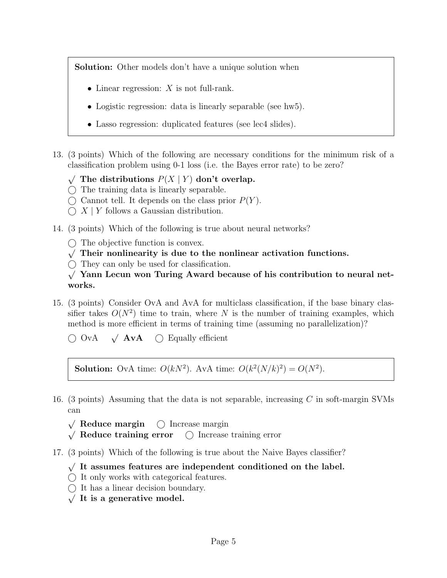**Solution:** Other models don't have a unique solution when

- Linear regression:  $X$  is not full-rank.
- Logistic regression: data is linearly separable (see hw5).
- Lasso regression: duplicated features (see lec4 slides).
- 13. (3 points) Which of the following are necessary conditions for the minimum risk of a classification problem using 0-1 loss (i.e. the Bayes error rate) to be zero?
	- √ The distributions  $P(X | Y)$  don't overlap.
	- $\bigcap$  The training data is linearly separable.
	- $\bigcirc$  Cannot tell. It depends on the class prior  $P(Y)$ .
	- $\bigcap X \mid Y$  follows a Gaussian distribution.
- 14. (3 points) Which of the following is true about neural networks?
	- $\bigcirc$  The objective function is convex.
	- $\sqrt{\ }$  Their nonlinearity is due to the nonlinear activation functions.
	- $\bigcirc$  They can only be used for classification.
	- $\sqrt{\ }$  Yann Lecun won Turing Award because of his contribution to neural networks.
- 15. (3 points) Consider OvA and AvA for multiclass classification, if the base binary classifier takes  $O(N^2)$  time to train, where N is the number of training examples, which method is more efficient in terms of training time (assuming no parallelization)?
	- $\bigcirc$  OvA  $\sqrt{A}vA$  $\bigcirc$  Equally efficient

**Solution:** OvA time:  $O(kN^2)$ . AvA time:  $O(k^2(N/k)^2) = O(N^2)$ .

- 16. (3 points) Assuming that the data is not separable, increasing  $C$  in soft-margin SVMs can
	- √  $\bigcirc$  Increase margin  $\mathsf{V}_{\scriptscriptstyle\prime}$
	- $\sqrt{\phantom{a}}$  Reduce training error  $\binom{\phantom{a}}{\phantom{a}}$  Increase training error
- 17. (3 points) Which of the following is true about the Naive Bayes classifier?
	- √ It assumes features are independent conditioned on the label.
	- $\bigcirc$  It only works with categorical features.
	- $\bigcirc$  It has a linear decision boundary.
	- $\sqrt{I}$  It is a generative model.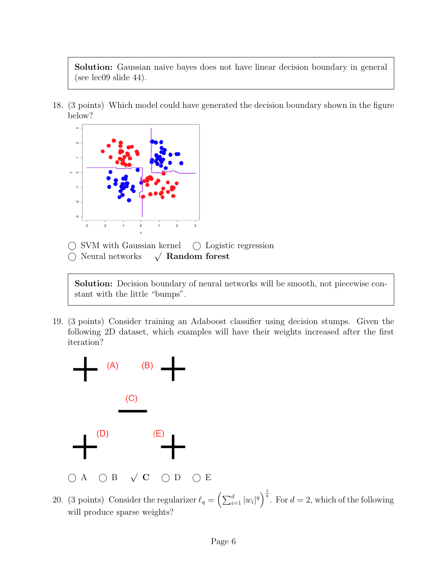Solution: Gaussian naive bayes does not have linear decision boundary in general (see lec09 slide 44).

18. (3 points) Which model could have generated the decision boundary shown in the figure below?



 $\bigcirc$  SVM with Gaussian kernel  $\bigcirc$  Logistic regression

 Neural networks <sup>√</sup>  $\sqrt{\phantom{a}}$  Random forest

Solution: Decision boundary of neural networks will be smooth, not piecewise constant with the little "bumps".

19. (3 points) Consider training an Adaboost classifier using decision stumps. Given the following 2D dataset, which examples will have their weights increased after the first iteration?



20. (3 points) Consider the regularizer  $\ell_q = \left(\sum_{i=1}^d |w_i|^q\right)^{\frac{1}{q}}$ . For  $d = 2$ , which of the following will produce sparse weights?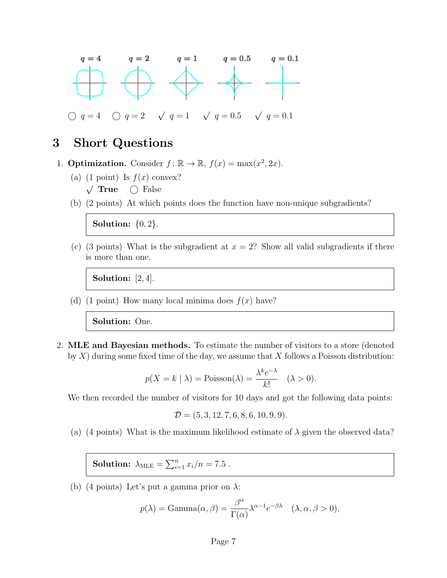

## 3 Short Questions

- 1. **Optimization.** Consider  $f: \mathbb{R} \to \mathbb{R}$ ,  $f(x) = \max(x^2, 2x)$ .
	- (a) (1 point) Is  $f(x)$  convex?  $\frac{1}{2}$ True  $\bigcirc$  False
	- (b) (2 points) At which points does the function have non-unique subgradients?

**Solution:**  $\{0, 2\}$ .

(c) (3 points) What is the subgradient at  $x = 2$ ? Show all valid subgradients if there is more than one.

Solution: [2, 4].

(d) (1 point) How many local minima does  $f(x)$  have?

Solution: One.

2. MLE and Bayesian methods. To estimate the number of visitors to a store (denoted by  $X$ ) during some fixed time of the day, we assume that  $X$  follows a Poisson distribution:

$$
p(X = k | \lambda) = \text{Poisson}(\lambda) = \frac{\lambda^k e^{-\lambda}}{k!} \quad (\lambda > 0).
$$

We then recorded the number of visitors for 10 days and got the following data points:

$$
\mathcal{D} = (5, 3, 12, 7, 6, 8, 6, 10, 9, 9).
$$

(a) (4 points) What is the maximum likelihood estimate of  $\lambda$  given the observed data?

**Solution:**  $\lambda_{MLE} = \sum_{i=1}^{n} x_i/n = 7.5$ .

(b) (4 points) Let's put a gamma prior on  $\lambda$ :

$$
p(\lambda) = \text{Gamma}(\alpha, \beta) = \frac{\beta^{\alpha}}{\Gamma(\alpha)} \lambda^{\alpha-1} e^{-\beta \lambda} \quad (\lambda, \alpha, \beta > 0),
$$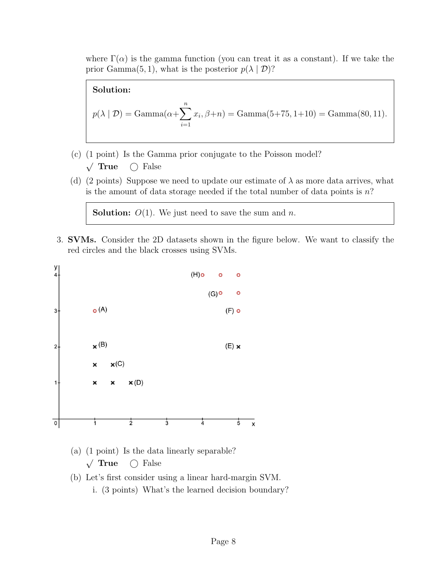where  $\Gamma(\alpha)$  is the gamma function (you can treat it as a constant). If we take the prior Gamma $(5, 1)$ , what is the posterior  $p(\lambda | \mathcal{D})$ ?

Solution:  
\n
$$
p(\lambda | \mathcal{D}) = \text{Gamma}(\alpha + \sum_{i=1}^{n} x_i, \beta + n) = \text{Gamma}(5 + 75, 1 + 10) = \text{Gamma}(80, 11).
$$

- (c) (1 point) Is the Gamma prior conjugate to the Poisson model?  $\sqrt{\text{True}}$  $\bigcirc$  False
- (d) (2 points) Suppose we need to update our estimate of  $\lambda$  as more data arrives, what is the amount of data storage needed if the total number of data points is  $n$ ?

**Solution:**  $O(1)$ . We just need to save the sum and *n*.

3. SVMs. Consider the 2D datasets shown in the figure below. We want to classify the red circles and the black crosses using SVMs.



- (a) (1 point) Is the data linearly separable?  $\sqrt{\text{True}}$  $\bigcap$  False
- (b) Let's first consider using a linear hard-margin SVM. i. (3 points) What's the learned decision boundary?